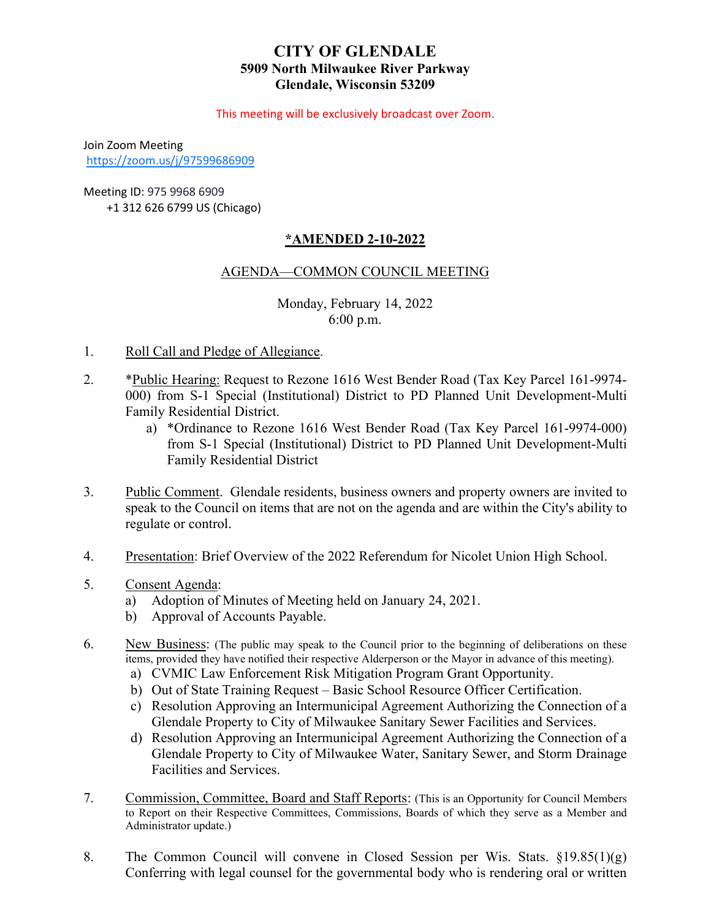# **CITY OF GLENDALE 5909 North Milwaukee River Parkway Glendale, Wisconsin 53209**

This meeting will be exclusively broadcast over Zoom.

Join Zoom Meeting <https://zoom.us/j/97599686909>

Meeting ID: 975 9968 6909 +1 312 626 6799 US (Chicago)

# **\*AMENDED 2-10-2022**

# AGENDA—COMMON COUNCIL MEETING

Monday, February 14, 2022 6:00 p.m.

- 1. Roll Call and Pledge of Allegiance.
- 2. \*Public Hearing: Request to Rezone 1616 West Bender Road (Tax Key Parcel 161-9974- [000\) from S-1 Special \(Institutional\) District to PD Planned Unit Development-Multi](#page-2-0) Family Residential District.
	- a) \*Ordinance to Rezone 1616 West Bender Road (Tax Key Parcel 161-9974-000) from S-1 Special (Institutional) District to PD Planned Unit Development-Multi Family Residential District
- 3. Public Comment. Glendale residents, business owners and property owners are invited to speak to the Council on items that are not on the agenda and are within the City's ability to regulate or control.
- 4. Presentation: Brief Overview of the 2022 Referendum for Nicolet Union High School.
- 5. Consent Agenda:
	- a) [Adoption of Minutes of Meeting held on January 24, 2021.](#page-3-0)
	- b) Approval of Accounts Payable.
- 6. New Business: (The public may speak to the Council prior to the beginning of deliberations on these items, provided they have notified their respective Alderperson or the Mayor in advance of this meeting).
	- a) [CVMIC Law Enforcement Risk Mitigation Program Grant Opportunity.](#page-4-0)
	- [b\) Out of State Training Request Basic School Resource Officer Certification.](#page-5-0)
	- c) Resolution Approving an Intermunicipal Agreement Authorizing the Connection of a [Glendale Property to City of Milwaukee Sanitary Sewer Facilities and Services.](#page-6-0)
	- d) Resolution Approving an Intermunicipal Agreement Authorizing the Connection of a [Glendale Property to City of Milwaukee Water, Sanitary Sewer, and Storm Drainage](#page-7-0) Facilities and Services.
- 7. Commission, Committee, Board and Staff Reports: (This is an Opportunity for Council Members to Report on their Respective Committees, Commissions, Boards of which they serve as a Member and Administrator update.)
- 8. The Common Council will convene in Closed Session per Wis. Stats.  $\S 19.85(1)(g)$ Conferring with legal counsel for the governmental body who is rendering oral or written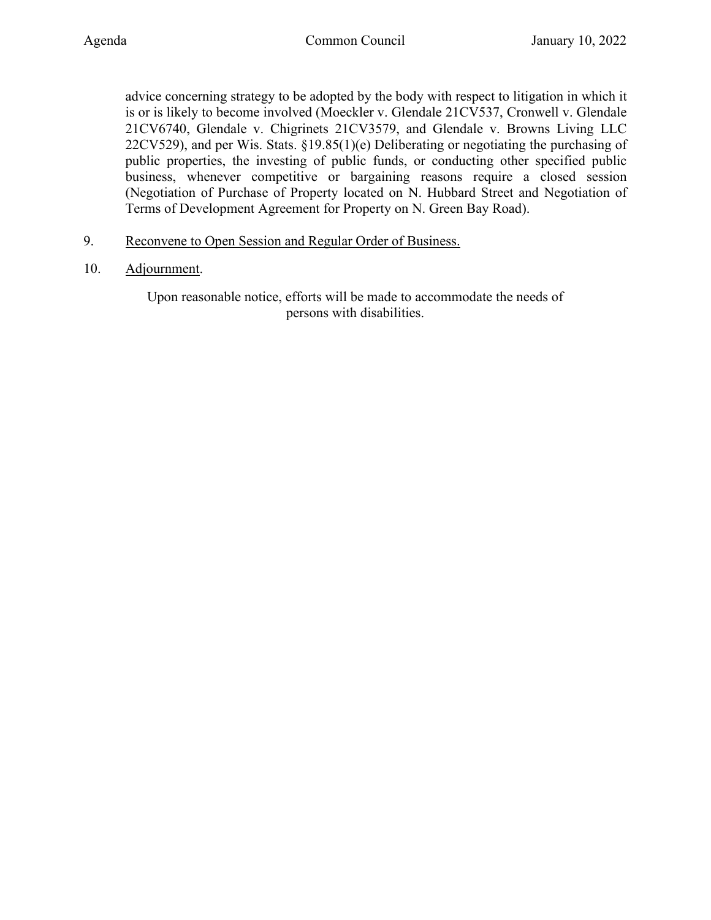advice concerning strategy to be adopted by the body with respect to litigation in which it is or is likely to become involved (Moeckler v. Glendale 21CV537, Cronwell v. Glendale 21CV6740, Glendale v. Chigrinets 21CV3579, and Glendale v. Browns Living LLC 22CV529), and per Wis. Stats. §19.85(1)(e) Deliberating or negotiating the purchasing of public properties, the investing of public funds, or conducting other specified public business, whenever competitive or bargaining reasons require a closed session (Negotiation of Purchase of Property located on N. Hubbard Street and Negotiation of Terms of Development Agreement for Property on N. Green Bay Road).

- 9. Reconvene to Open Session and Regular Order of Business.
- 10. Adjournment.

Upon reasonable notice, efforts will be made to accommodate the needs of persons with disabilities.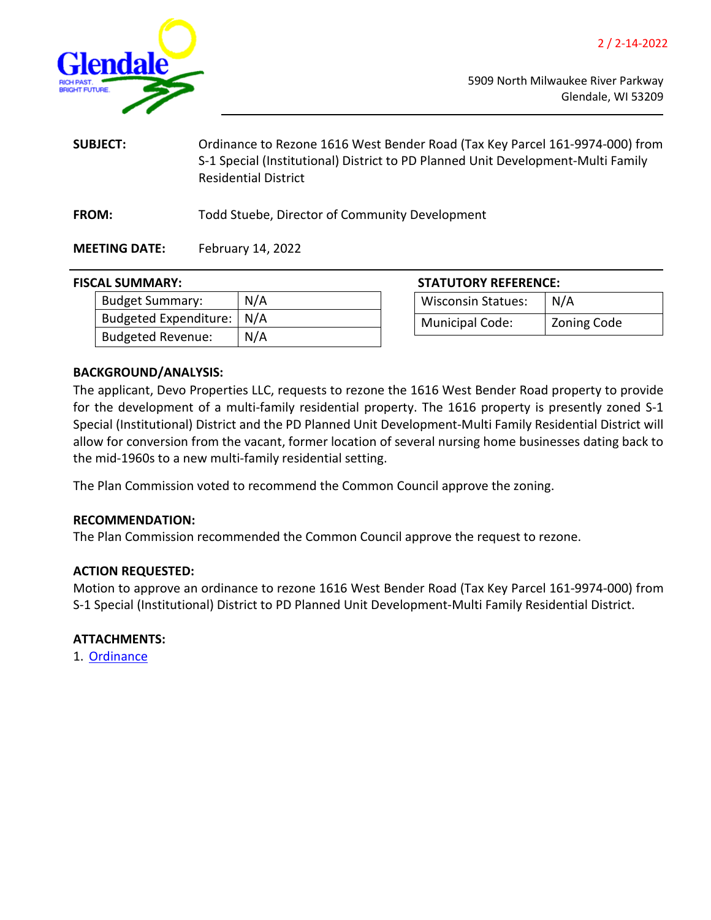

<span id="page-2-0"></span>

| <b>SUBJECT:</b>      | Ordinance to Rezone 1616 West Bender Road (Tax Key Parcel 161-9974-000) from<br>S-1 Special (Institutional) District to PD Planned Unit Development-Multi Family<br><b>Residential District</b> |
|----------------------|-------------------------------------------------------------------------------------------------------------------------------------------------------------------------------------------------|
| <b>FROM:</b>         | Todd Stuebe, Director of Community Development                                                                                                                                                  |
| <b>MEETING DATE:</b> | February 14, 2022                                                                                                                                                                               |

#### **FISCAL SUMMARY:**

| <b>Budget Summary:</b>      | N/A |
|-----------------------------|-----|
| Budgeted Expenditure:   N/A |     |
| <b>Budgeted Revenue:</b>    | N/A |

| <b>STATUTORY REFERENCE:</b> |                    |  |
|-----------------------------|--------------------|--|
| <b>Wisconsin Statues:</b>   | N/A                |  |
| <b>Municipal Code:</b>      | <b>Zoning Code</b> |  |

#### **BACKGROUND/ANALYSIS:**

The applicant, Devo Properties LLC, requests to rezone the 1616 West Bender Road property to provide for the development of a multi-family residential property. The 1616 property is presently zoned S-1 Special (Institutional) District and the PD Planned Unit Development-Multi Family Residential District will allow for conversion from the vacant, former location of several nursing home businesses dating back to the mid-1960s to a new multi-family residential setting.

The Plan Commission voted to recommend the Common Council approve the zoning.

## **RECOMMENDATION:**

The Plan Commission recommended the Common Council approve the request to rezone.

#### **ACTION REQUESTED:**

Motion to approve an ordinance to rezone 1616 West Bender Road (Tax Key Parcel 161-9974-000) from S-1 Special (Institutional) District to PD Planned Unit Development-Multi Family Residential District.

## **ATTACHMENTS:**

1. [Ordinance](https://www.glendale-wi.org/DocumentCenter/View/2412/Ordinance---Re-zoning-1616-W-Bender-Rd)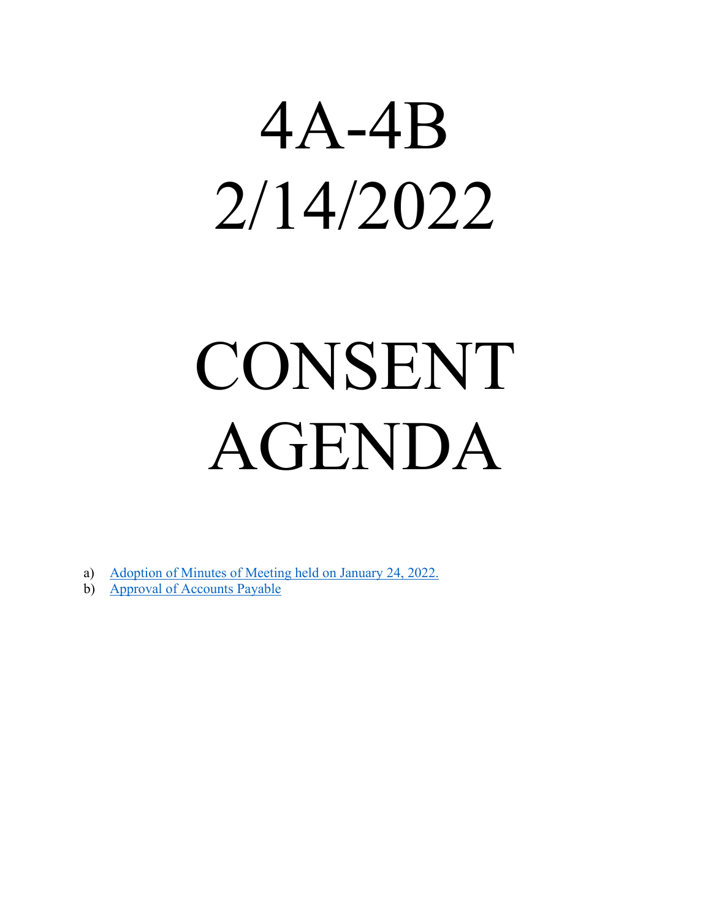<span id="page-3-0"></span>

# CONSENT AGENDA

- a) [Adoption of Minutes of Meeting held on January 24, 2022.](https://www.glendale-wi.org/DocumentCenter/View/2411/Council-Minutes-1-24-2022)
- b) [Approval of Accounts Payable](https://www.glendale-wi.org/DocumentCenter/View/2406/Accounts-Payable-Report-for-Council-Meeting-2-14-22)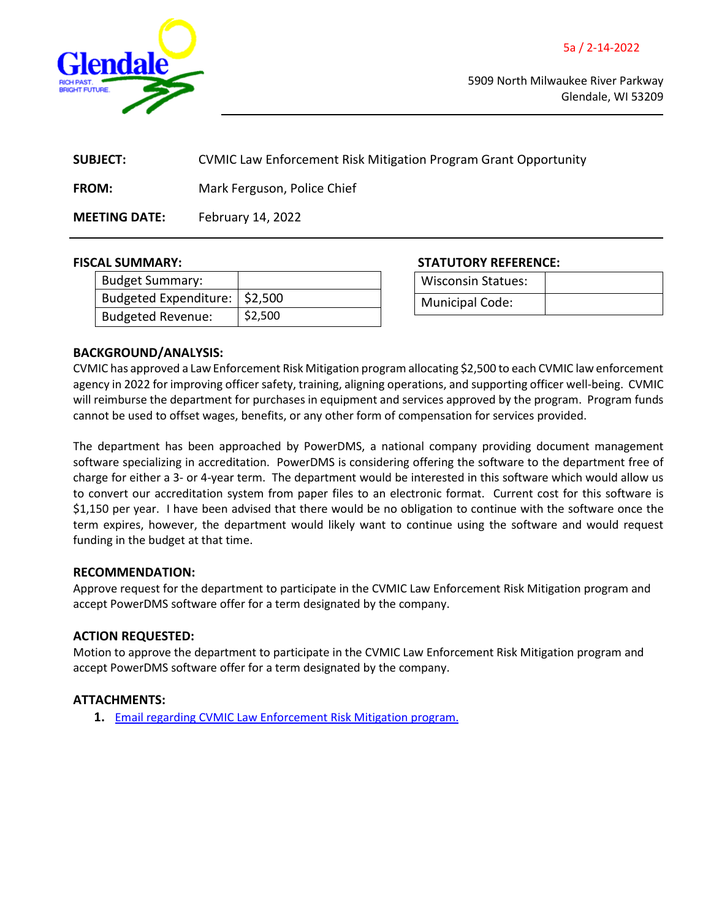

<span id="page-4-0"></span>

| <b>SUBJECT:</b>      | CVMIC Law Enforcement Risk Mitigation Program Grant Opportunity |
|----------------------|-----------------------------------------------------------------|
| <b>FROM:</b>         | Mark Ferguson, Police Chief                                     |
| <b>MEETING DATE:</b> | February 14, 2022                                               |

| <b>Budget Summary:</b>          |         |
|---------------------------------|---------|
| Budgeted Expenditure:   \$2,500 |         |
| <b>Budgeted Revenue:</b>        | \$2,500 |

**FISCAL SUMMARY: STATUTORY REFERENCE:**

| <b>Wisconsin Statues:</b> |  |
|---------------------------|--|
| <b>Municipal Code:</b>    |  |

#### **BACKGROUND/ANALYSIS:**

CVMIC has approved a Law Enforcement Risk Mitigation program allocating \$2,500 to each CVMIC law enforcement agency in 2022 for improving officer safety, training, aligning operations, and supporting officer well-being. CVMIC will reimburse the department for purchases in equipment and services approved by the program. Program funds cannot be used to offset wages, benefits, or any other form of compensation for services provided.

The department has been approached by PowerDMS, a national company providing document management software specializing in accreditation. PowerDMS is considering offering the software to the department free of charge for either a 3- or 4-year term. The department would be interested in this software which would allow us to convert our accreditation system from paper files to an electronic format. Current cost for this software is \$1,150 per year. I have been advised that there would be no obligation to continue with the software once the term expires, however, the department would likely want to continue using the software and would request funding in the budget at that time.

#### **RECOMMENDATION:**

Approve request for the department to participate in the CVMIC Law Enforcement Risk Mitigation program and accept PowerDMS software offer for a term designated by the company.

#### **ACTION REQUESTED:**

Motion to approve the department to participate in the CVMIC Law Enforcement Risk Mitigation program and accept PowerDMS software offer for a term designated by the company.

#### **ATTACHMENTS:**

**1.** [Email regarding CVMIC Law Enforcement Risk Mitigation program.](https://www.glendale-wi.org/DocumentCenter/View/2410/CVMIC-Law-Enforcement-Risk-Mitigation-program)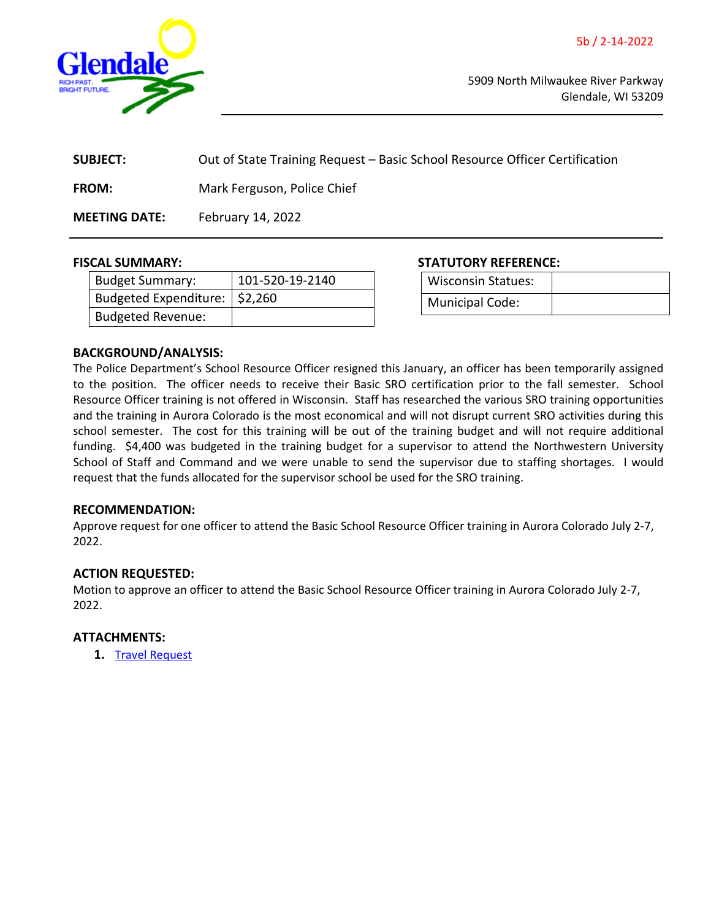<span id="page-5-0"></span>

| <b>SUBJECT:</b>      | Out of State Training Request – Basic School Resource Officer Certification |
|----------------------|-----------------------------------------------------------------------------|
| <b>FROM:</b>         | Mark Ferguson, Police Chief                                                 |
| <b>MEETING DATE:</b> | February 14, 2022                                                           |

| <b>Budget Summary:</b>          | 101-520-19-2140 |
|---------------------------------|-----------------|
| Budgeted Expenditure:   \$2,260 |                 |
| <b>Budgeted Revenue:</b>        |                 |

**FISCAL SUMMARY: STATUTORY REFERENCE:**

| <b>Wisconsin Statues:</b> |  |
|---------------------------|--|
| Municipal Code:           |  |

#### **BACKGROUND/ANALYSIS:**

The Police Department's School Resource Officer resigned this January, an officer has been temporarily assigned to the position. The officer needs to receive their Basic SRO certification prior to the fall semester. School Resource Officer training is not offered in Wisconsin. Staff has researched the various SRO training opportunities and the training in Aurora Colorado is the most economical and will not disrupt current SRO activities during this school semester. The cost for this training will be out of the training budget and will not require additional funding. \$4,400 was budgeted in the training budget for a supervisor to attend the Northwestern University School of Staff and Command and we were unable to send the supervisor due to staffing shortages. I would request that the funds allocated for the supervisor school be used for the SRO training.

#### **RECOMMENDATION:**

Approve request for one officer to attend the Basic School Resource Officer training in Aurora Colorado July 2-7, 2022.

#### **ACTION REQUESTED:**

Motion to approve an officer to attend the Basic School Resource Officer training in Aurora Colorado July 2-7, 2022.

#### **ATTACHMENTS:**

**1.** [Travel Request](https://www.glendale-wi.org/DocumentCenter/View/2407/Travel-Request---NASRO-2022)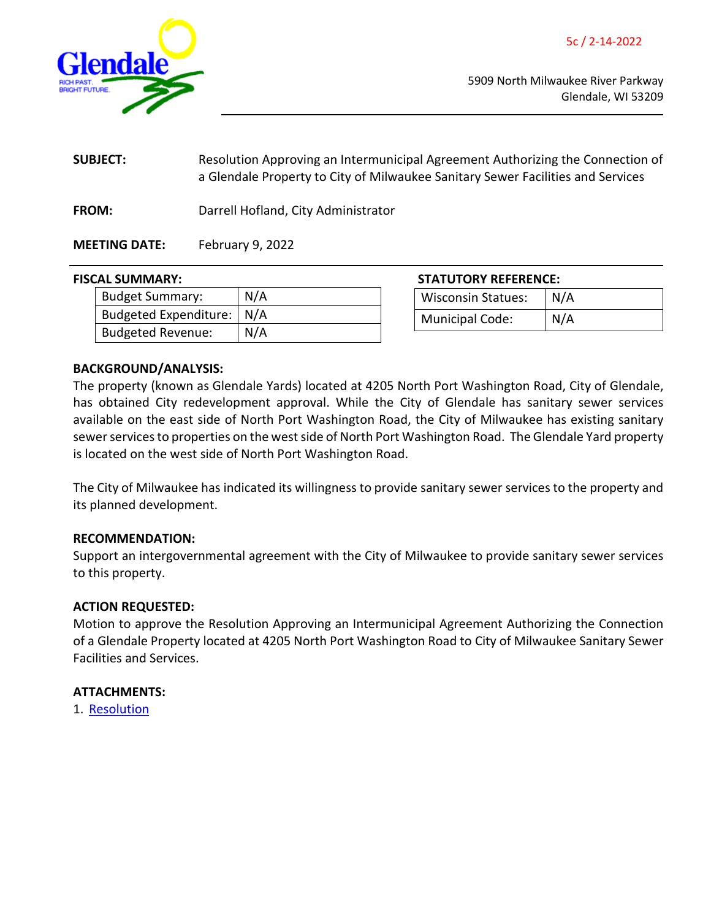<span id="page-6-0"></span>

| <b>SUBJECT:</b> | Resolution Approving an Intermunicipal Agreement Authorizing the Connection of<br>a Glendale Property to City of Milwaukee Sanitary Sewer Facilities and Services |
|-----------------|-------------------------------------------------------------------------------------------------------------------------------------------------------------------|
| <b>FROM:</b>    | Darrell Hofland, City Administrator                                                                                                                               |

# **MEETING DATE:** February 9, 2022

# **FISCAL SUMMARY: STATUTORY REFERENCE:**

| <b>Budget Summary:</b>      | N/A |
|-----------------------------|-----|
| Budgeted Expenditure:   N/A |     |
| <b>Budgeted Revenue:</b>    | N/A |

| <b>STATUTORY REFERENCE:</b> |     |  |
|-----------------------------|-----|--|
| <b>Wisconsin Statues:</b>   | N/A |  |
| Municipal Code:             | N/A |  |

## **BACKGROUND/ANALYSIS:**

The property (known as Glendale Yards) located at 4205 North Port Washington Road, City of Glendale, has obtained City redevelopment approval. While the City of Glendale has sanitary sewer services available on the east side of North Port Washington Road, the City of Milwaukee has existing sanitary sewer services to properties on the west side of North Port Washington Road. The Glendale Yard property is located on the west side of North Port Washington Road.

The City of Milwaukee has indicated its willingness to provide sanitary sewer services to the property and its planned development.

#### **RECOMMENDATION:**

Support an intergovernmental agreement with the City of Milwaukee to provide sanitary sewer services to this property.

# **ACTION REQUESTED:**

Motion to approve the Resolution Approving an Intermunicipal Agreement Authorizing the Connection of a Glendale Property located at 4205 North Port Washington Road to City of Milwaukee Sanitary Sewer Facilities and Services.

#### **ATTACHMENTS:**

1. [Resolution](https://www.glendale-wi.org/DocumentCenter/View/2408/Resolution-for-Sanitary-Sewer-Service-Intergovernmental-Agreement-Glendale-Yards)